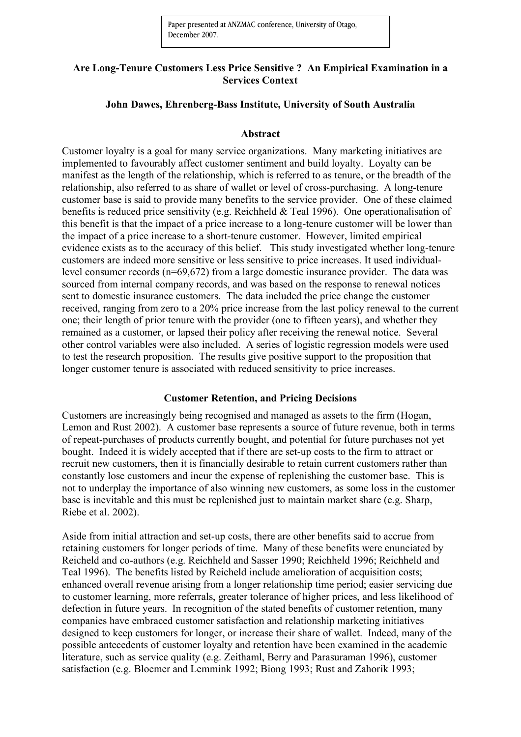## **Are Long-Tenure Customers Less Price Sensitive ? An Empirical Examination in a Services Context**

## **John Dawes, Ehrenberg-Bass Institute, University of South Australia**

### **Abstract**

Customer loyalty is a goal for many service organizations. Many marketing initiatives are implemented to favourably affect customer sentiment and build loyalty. Loyalty can be manifest as the length of the relationship, which is referred to as tenure, or the breadth of the relationship, also referred to as share of wallet or level of cross-purchasing. A long-tenure customer base is said to provide many benefits to the service provider. One of these claimed benefits is reduced price sensitivity (e.g. Reichheld & Teal 1996). One operationalisation of this benefit is that the impact of a price increase to a long-tenure customer will be lower than the impact of a price increase to a short-tenure customer. However, limited empirical evidence exists as to the accuracy of this belief. This study investigated whether long-tenure customers are indeed more sensitive or less sensitive to price increases. It used individuallevel consumer records (n=69,672) from a large domestic insurance provider. The data was sourced from internal company records, and was based on the response to renewal notices sent to domestic insurance customers. The data included the price change the customer received, ranging from zero to a 20% price increase from the last policy renewal to the current one; their length of prior tenure with the provider (one to fifteen years), and whether they remained as a customer, or lapsed their policy after receiving the renewal notice. Several other control variables were also included. A series of logistic regression models were used to test the research proposition. The results give positive support to the proposition that longer customer tenure is associated with reduced sensitivity to price increases.

### **Customer Retention, and Pricing Decisions**

Customers are increasingly being recognised and managed as assets to the firm (Hogan, Lemon and Rust 2002). A customer base represents a source of future revenue, both in terms of repeat-purchases of products currently bought, and potential for future purchases not yet bought. Indeed it is widely accepted that if there are set-up costs to the firm to attract or recruit new customers, then it is financially desirable to retain current customers rather than constantly lose customers and incur the expense of replenishing the customer base. This is not to underplay the importance of also winning new customers, as some loss in the customer base is inevitable and this must be replenished just to maintain market share (e.g. Sharp, Riebe et al. 2002).

Aside from initial attraction and set-up costs, there are other benefits said to accrue from retaining customers for longer periods of time. Many of these benefits were enunciated by Reicheld and co-authors (e.g. Reichheld and Sasser 1990; Reichheld 1996; Reichheld and Teal 1996). The benefits listed by Reicheld include amelioration of acquisition costs; enhanced overall revenue arising from a longer relationship time period; easier servicing due to customer learning, more referrals, greater tolerance of higher prices, and less likelihood of defection in future years. In recognition of the stated benefits of customer retention, many companies have embraced customer satisfaction and relationship marketing initiatives designed to keep customers for longer, or increase their share of wallet. Indeed, many of the possible antecedents of customer loyalty and retention have been examined in the academic literature, such as service quality (e.g. Zeithaml, Berry and Parasuraman 1996), customer satisfaction (e.g. Bloemer and Lemmink 1992; Biong 1993; Rust and Zahorik 1993;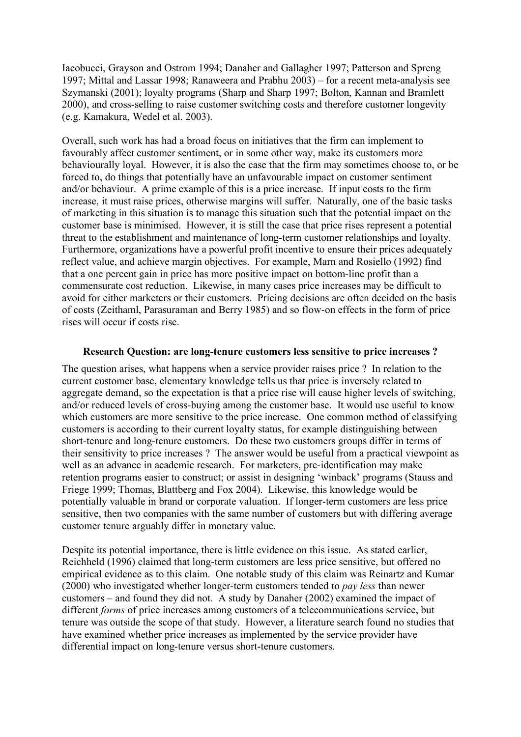Iacobucci, Grayson and Ostrom 1994; Danaher and Gallagher 1997; Patterson and Spreng 1997; Mittal and Lassar 1998; Ranaweera and Prabhu 2003) – for a recent meta-analysis see Szymanski (2001); loyalty programs (Sharp and Sharp 1997; Bolton, Kannan and Bramlett 2000), and cross-selling to raise customer switching costs and therefore customer longevity (e.g. Kamakura, Wedel et al. 2003).

Overall, such work has had a broad focus on initiatives that the firm can implement to favourably affect customer sentiment, or in some other way, make its customers more behaviourally loyal. However, it is also the case that the firm may sometimes choose to, or be forced to, do things that potentially have an unfavourable impact on customer sentiment and/or behaviour. A prime example of this is a price increase. If input costs to the firm increase, it must raise prices, otherwise margins will suffer. Naturally, one of the basic tasks of marketing in this situation is to manage this situation such that the potential impact on the customer base is minimised. However, it is still the case that price rises represent a potential threat to the establishment and maintenance of long-term customer relationships and loyalty. Furthermore, organizations have a powerful profit incentive to ensure their prices adequately reflect value, and achieve margin objectives. For example, Marn and Rosiello (1992) find that a one percent gain in price has more positive impact on bottom-line profit than a commensurate cost reduction. Likewise, in many cases price increases may be difficult to avoid for either marketers or their customers. Pricing decisions are often decided on the basis of costs (Zeithaml, Parasuraman and Berry 1985) and so flow-on effects in the form of price rises will occur if costs rise.

### **Research Question: are long-tenure customers less sensitive to price increases ?**

The question arises, what happens when a service provider raises price ? In relation to the current customer base, elementary knowledge tells us that price is inversely related to aggregate demand, so the expectation is that a price rise will cause higher levels of switching, and/or reduced levels of cross-buying among the customer base. It would use useful to know which customers are more sensitive to the price increase. One common method of classifying customers is according to their current loyalty status, for example distinguishing between short-tenure and long-tenure customers. Do these two customers groups differ in terms of their sensitivity to price increases ? The answer would be useful from a practical viewpoint as well as an advance in academic research. For marketers, pre-identification may make retention programs easier to construct; or assist in designing 'winback' programs (Stauss and Friege 1999; Thomas, Blattberg and Fox 2004). Likewise, this knowledge would be potentially valuable in brand or corporate valuation. If longer-term customers are less price sensitive, then two companies with the same number of customers but with differing average customer tenure arguably differ in monetary value.

Despite its potential importance, there is little evidence on this issue. As stated earlier, Reichheld (1996) claimed that long-term customers are less price sensitive, but offered no empirical evidence as to this claim. One notable study of this claim was Reinartz and Kumar (2000) who investigated whether longer-term customers tended to *pay less* than newer customers – and found they did not. A study by Danaher (2002) examined the impact of different *forms* of price increases among customers of a telecommunications service, but tenure was outside the scope of that study. However, a literature search found no studies that have examined whether price increases as implemented by the service provider have differential impact on long-tenure versus short-tenure customers.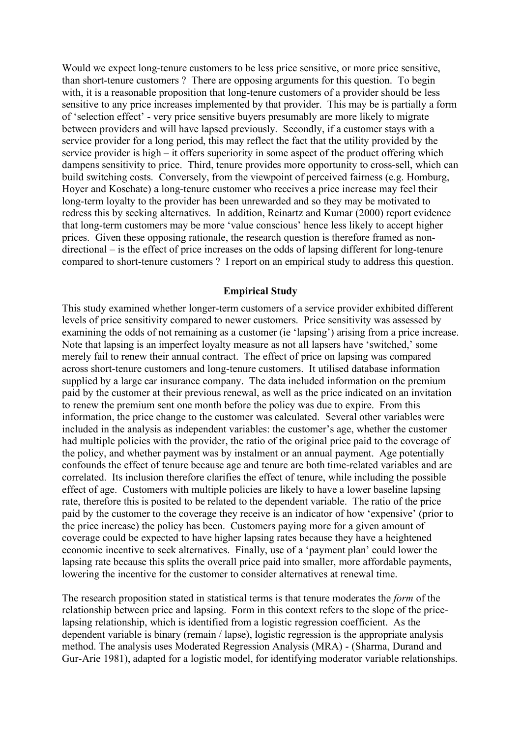Would we expect long-tenure customers to be less price sensitive, or more price sensitive, than short-tenure customers ? There are opposing arguments for this question. To begin with, it is a reasonable proposition that long-tenure customers of a provider should be less sensitive to any price increases implemented by that provider. This may be is partially a form of 'selection effect' - very price sensitive buyers presumably are more likely to migrate between providers and will have lapsed previously. Secondly, if a customer stays with a service provider for a long period, this may reflect the fact that the utility provided by the service provider is high – it offers superiority in some aspect of the product offering which dampens sensitivity to price. Third, tenure provides more opportunity to cross-sell, which can build switching costs. Conversely, from the viewpoint of perceived fairness (e.g. Homburg, Hoyer and Koschate) a long-tenure customer who receives a price increase may feel their long-term loyalty to the provider has been unrewarded and so they may be motivated to redress this by seeking alternatives. In addition, Reinartz and Kumar (2000) report evidence that long-term customers may be more 'value conscious' hence less likely to accept higher prices. Given these opposing rationale, the research question is therefore framed as nondirectional – is the effect of price increases on the odds of lapsing different for long-tenure compared to short-tenure customers ? I report on an empirical study to address this question.

#### **Empirical Study**

This study examined whether longer-term customers of a service provider exhibited different levels of price sensitivity compared to newer customers. Price sensitivity was assessed by examining the odds of not remaining as a customer (ie 'lapsing') arising from a price increase. Note that lapsing is an imperfect loyalty measure as not all lapsers have 'switched,' some merely fail to renew their annual contract. The effect of price on lapsing was compared across short-tenure customers and long-tenure customers. It utilised database information supplied by a large car insurance company. The data included information on the premium paid by the customer at their previous renewal, as well as the price indicated on an invitation to renew the premium sent one month before the policy was due to expire. From this information, the price change to the customer was calculated. Several other variables were included in the analysis as independent variables: the customer's age, whether the customer had multiple policies with the provider, the ratio of the original price paid to the coverage of the policy, and whether payment was by instalment or an annual payment. Age potentially confounds the effect of tenure because age and tenure are both time-related variables and are correlated. Its inclusion therefore clarifies the effect of tenure, while including the possible effect of age. Customers with multiple policies are likely to have a lower baseline lapsing rate, therefore this is posited to be related to the dependent variable. The ratio of the price paid by the customer to the coverage they receive is an indicator of how 'expensive' (prior to the price increase) the policy has been. Customers paying more for a given amount of coverage could be expected to have higher lapsing rates because they have a heightened economic incentive to seek alternatives. Finally, use of a 'payment plan' could lower the lapsing rate because this splits the overall price paid into smaller, more affordable payments, lowering the incentive for the customer to consider alternatives at renewal time.

The research proposition stated in statistical terms is that tenure moderates the *form* of the relationship between price and lapsing. Form in this context refers to the slope of the pricelapsing relationship, which is identified from a logistic regression coefficient. As the dependent variable is binary (remain / lapse), logistic regression is the appropriate analysis method. The analysis uses Moderated Regression Analysis (MRA) - (Sharma, Durand and Gur-Arie 1981), adapted for a logistic model, for identifying moderator variable relationships.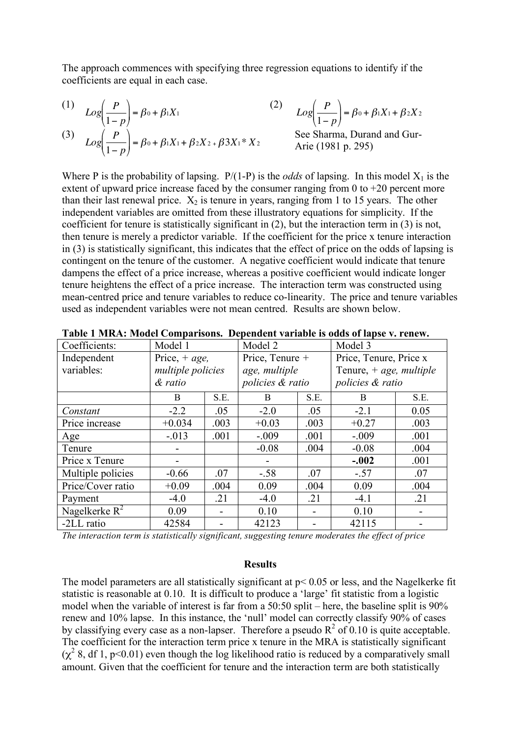The approach commences with specifying three regression equations to identify if the coefficients are equal in each case.

$$
(1) \qquad Log\left(\frac{P}{1-p}\right) = \beta_0 + \beta_1 X_1
$$

(3) 
$$
Log\left(\frac{P}{1-P}\right) = \beta_0 + \beta_1 X_1 + \beta_2 X_2 + \beta_3 X_1 * X_2
$$

(2) 
$$
Log\left(\frac{P}{1-p}\right) = \beta_0 + \beta_1 X_1 + \beta_2 X_2
$$
  
See Sharma, Durand and Gur-  
Arie (1981 p. 295)

.<br>. . Where P is the probability of lapsing.  $P/(1-P)$  is the *odds* of lapsing. In this model  $X_1$  is the extent of upward price increase faced by the consumer ranging from 0 to  $+20$  percent more than their last renewal price.  $X_2$  is tenure in years, ranging from 1 to 15 years. The other independent variables are omitted from these illustratory equations for simplicity. If the coefficient for tenure is statistically significant in (2), but the interaction term in (3) is not, then tenure is merely a predictor variable. If the coefficient for the price x tenure interaction in (3) is statistically significant, this indicates that the effect of price on the odds of lapsing is contingent on the tenure of the customer. A negative coefficient would indicate that tenure dampens the effect of a price increase, whereas a positive coefficient would indicate longer tenure heightens the effect of a price increase. The interaction term was constructed using mean-centred price and tenure variables to reduce co-linearity. The price and tenure variables used as independent variables were not mean centred. Results are shown below.

| Coefficients:     | Model 1           |      | Model 2          |      | Model 3                   |      |
|-------------------|-------------------|------|------------------|------|---------------------------|------|
| Independent       | Price, $+ age$ ,  |      | Price, Tenure +  |      | Price, Tenure, Price x    |      |
| variables:        | multiple policies |      | age, multiple    |      | Tenure, $+$ age, multiple |      |
|                   | & ratio           |      | policies & ratio |      | policies & ratio          |      |
|                   | B                 | S.E. | B                | S.E. | B                         | S.E. |
| Constant          | $-2.2$            | .05  | $-2.0$           | .05  | $-2.1$                    | 0.05 |
| Price increase    | $+0.034$          | .003 | $+0.03$          | .003 | $+0.27$                   | .003 |
| Age               | $-0.013$          | .001 | $-.009$          | .001 | $-.009$                   | .001 |
| Tenure            |                   |      | $-0.08$          | .004 | $-0.08$                   | .004 |
| Price x Tenure    |                   |      |                  |      | $-.002$                   | .001 |
| Multiple policies | $-0.66$           | .07  | $-.58$           | .07  | $-.57$                    | .07  |
| Price/Cover ratio | $+0.09$           | .004 | 0.09             | .004 | 0.09                      | .004 |
| Payment           | $-4.0$            | .21  | $-4.0$           | .21  | $-4.1$                    | .21  |
| Nagelkerke $R^2$  | 0.09              |      | 0.10             |      | 0.10                      |      |
| -2LL ratio        | 42584             |      | 42123            |      | 42115                     |      |

**Table 1 MRA: Model Comparisons. Dependent variable is odds of lapse v. renew.**

*The interaction term is statistically significant, suggesting tenure moderates the effect of price*

#### **Results**

The model parameters are all statistically significant at p< 0.05 or less, and the Nagelkerke fit statistic is reasonable at 0.10. It is difficult to produce a 'large' fit statistic from a logistic model when the variable of interest is far from a 50:50 split – here, the baseline split is 90% renew and 10% lapse. In this instance, the 'null' model can correctly classify 90% of cases by classifying every case as a non-lapser. Therefore a pseudo  $R^2$  of 0.10 is quite acceptable. The coefficient for the interaction term price x tenure in the MRA is statistically significant  $(\chi^2 8, df 1, p<0.01)$  even though the log likelihood ratio is reduced by a comparatively small amount. Given that the coefficient for tenure and the interaction term are both statistically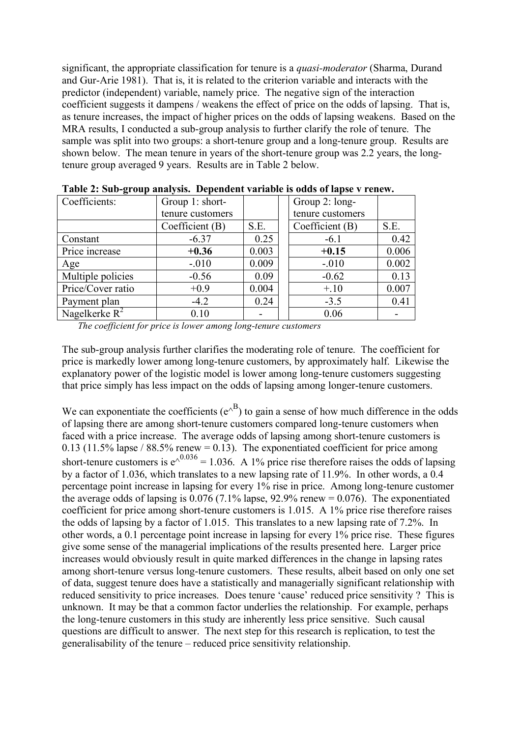significant, the appropriate classification for tenure is a *quasi-moderator* (Sharma, Durand and Gur-Arie 1981). That is, it is related to the criterion variable and interacts with the predictor (independent) variable, namely price. The negative sign of the interaction coefficient suggests it dampens / weakens the effect of price on the odds of lapsing. That is, as tenure increases, the impact of higher prices on the odds of lapsing weakens. Based on the MRA results, I conducted a sub-group analysis to further clarify the role of tenure. The sample was split into two groups: a short-tenure group and a long-tenure group. Results are shown below. The mean tenure in years of the short-tenure group was 2.2 years, the longtenure group averaged 9 years. Results are in Table 2 below.

| Table 2. Sub-group analysis. Dependent variable is out of lapse vielety. |                  |       |  |                  |       |  |  |  |  |  |
|--------------------------------------------------------------------------|------------------|-------|--|------------------|-------|--|--|--|--|--|
| Coefficients:                                                            | Group 1: short-  |       |  | Group 2: long-   |       |  |  |  |  |  |
|                                                                          | tenure customers |       |  | tenure customers |       |  |  |  |  |  |
|                                                                          | Coefficient (B)  | S.E.  |  | Coefficient (B)  | S.E.  |  |  |  |  |  |
| Constant                                                                 | $-6.37$          | 0.25  |  | $-6.1$           | 0.42  |  |  |  |  |  |
| Price increase                                                           | $+0.36$          | 0.003 |  | $+0.15$          | 0.006 |  |  |  |  |  |
| Age                                                                      | $-.010$          | 0.009 |  | $-.010$          | 0.002 |  |  |  |  |  |
| Multiple policies                                                        | $-0.56$          | 0.09  |  | $-0.62$          | 0.13  |  |  |  |  |  |
| Price/Cover ratio                                                        | $+0.9$           | 0.004 |  | $+, 10$          | 0.007 |  |  |  |  |  |
| Payment plan                                                             | $-4.2$           | 0.24  |  | $-3.5$           | 0.41  |  |  |  |  |  |
| Nagelkerke $R^2$                                                         | 0.10             |       |  | 0.06             |       |  |  |  |  |  |

**Table 2: Sub-group analysis. Dependent variable is odds of lapse v renew.**

*The coefficient for price is lower among long-tenure customers*

The sub-group analysis further clarifies the moderating role of tenure. The coefficient for price is markedly lower among long-tenure customers, by approximately half. Likewise the explanatory power of the logistic model is lower among long-tenure customers suggesting that price simply has less impact on the odds of lapsing among longer-tenure customers.

We can exponentiate the coefficients  $(e^{A})$  to gain a sense of how much difference in the odds of lapsing there are among short-tenure customers compared long-tenure customers when faced with a price increase. The average odds of lapsing among short-tenure customers is 0.13 (11.5% lapse / 88.5% renew = 0.13). The exponentiated coefficient for price among short-tenure customers is  $e^{\lambda^{0.036}} = 1.036$ . A 1% price rise therefore raises the odds of lapsing by a factor of 1.036, which translates to a new lapsing rate of 11.9%. In other words, a 0.4 percentage point increase in lapsing for every 1% rise in price. Among long-tenure customer the average odds of lapsing is  $0.076$  (7.1% lapse, 92.9% renew = 0.076). The exponentiated coefficient for price among short-tenure customers is 1.015. A 1% price rise therefore raises the odds of lapsing by a factor of 1.015. This translates to a new lapsing rate of 7.2%. In other words, a 0.1 percentage point increase in lapsing for every 1% price rise. These figures give some sense of the managerial implications of the results presented here. Larger price increases would obviously result in quite marked differences in the change in lapsing rates among short-tenure versus long-tenure customers. These results, albeit based on only one set of data, suggest tenure does have a statistically and managerially significant relationship with reduced sensitivity to price increases. Does tenure 'cause' reduced price sensitivity ? This is unknown. It may be that a common factor underlies the relationship. For example, perhaps the long-tenure customers in this study are inherently less price sensitive. Such causal questions are difficult to answer. The next step for this research is replication, to test the generalisability of the tenure – reduced price sensitivity relationship.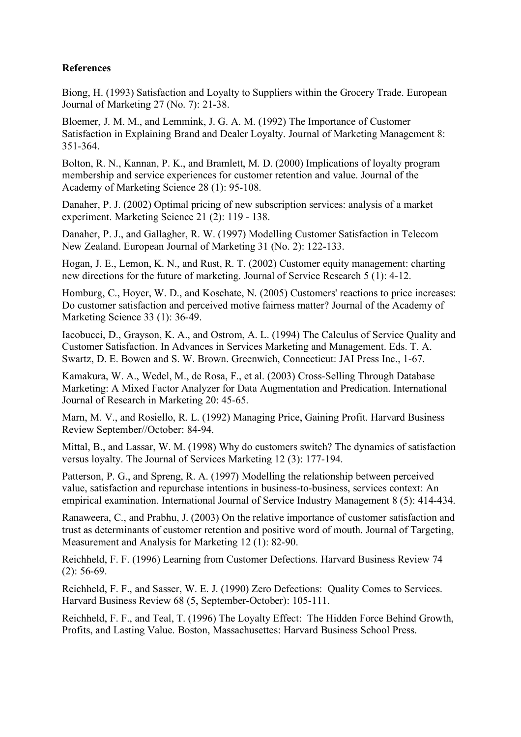# **References**

Biong, H. (1993) Satisfaction and Loyalty to Suppliers within the Grocery Trade. European Journal of Marketing 27 (No. 7): 21-38.

Bloemer, J. M. M., and Lemmink, J. G. A. M. (1992) The Importance of Customer Satisfaction in Explaining Brand and Dealer Loyalty. Journal of Marketing Management 8: 351-364.

Bolton, R. N., Kannan, P. K., and Bramlett, M. D. (2000) Implications of loyalty program membership and service experiences for customer retention and value. Journal of the Academy of Marketing Science 28 (1): 95-108.

Danaher, P. J. (2002) Optimal pricing of new subscription services: analysis of a market experiment. Marketing Science 21 (2): 119 - 138.

Danaher, P. J., and Gallagher, R. W. (1997) Modelling Customer Satisfaction in Telecom New Zealand. European Journal of Marketing 31 (No. 2): 122-133.

Hogan, J. E., Lemon, K. N., and Rust, R. T. (2002) Customer equity management: charting new directions for the future of marketing. Journal of Service Research 5 (1): 4-12.

Homburg, C., Hoyer, W. D., and Koschate, N. (2005) Customers' reactions to price increases: Do customer satisfaction and perceived motive fairness matter? Journal of the Academy of Marketing Science 33 (1): 36-49.

Iacobucci, D., Grayson, K. A., and Ostrom, A. L. (1994) The Calculus of Service Quality and Customer Satisfaction. In Advances in Services Marketing and Management. Eds. T. A. Swartz, D. E. Bowen and S. W. Brown. Greenwich, Connecticut: JAI Press Inc., 1-67.

Kamakura, W. A., Wedel, M., de Rosa, F., et al. (2003) Cross-Selling Through Database Marketing: A Mixed Factor Analyzer for Data Augmentation and Predication. International Journal of Research in Marketing 20: 45-65.

Marn, M. V., and Rosiello, R. L. (1992) Managing Price, Gaining Profit. Harvard Business Review September//October: 84-94.

Mittal, B., and Lassar, W. M. (1998) Why do customers switch? The dynamics of satisfaction versus loyalty. The Journal of Services Marketing 12 (3): 177-194.

Patterson, P. G., and Spreng, R. A. (1997) Modelling the relationship between perceived value, satisfaction and repurchase intentions in business-to-business, services context: An empirical examination. International Journal of Service Industry Management 8 (5): 414-434.

Ranaweera, C., and Prabhu, J. (2003) On the relative importance of customer satisfaction and trust as determinants of customer retention and positive word of mouth. Journal of Targeting, Measurement and Analysis for Marketing 12 (1): 82-90.

Reichheld, F. F. (1996) Learning from Customer Defections. Harvard Business Review 74  $(2)$ : 56-69.

Reichheld, F. F., and Sasser, W. E. J. (1990) Zero Defections: Quality Comes to Services. Harvard Business Review 68 (5, September-October): 105-111.

Reichheld, F. F., and Teal, T. (1996) The Loyalty Effect: The Hidden Force Behind Growth, Profits, and Lasting Value. Boston, Massachusettes: Harvard Business School Press.